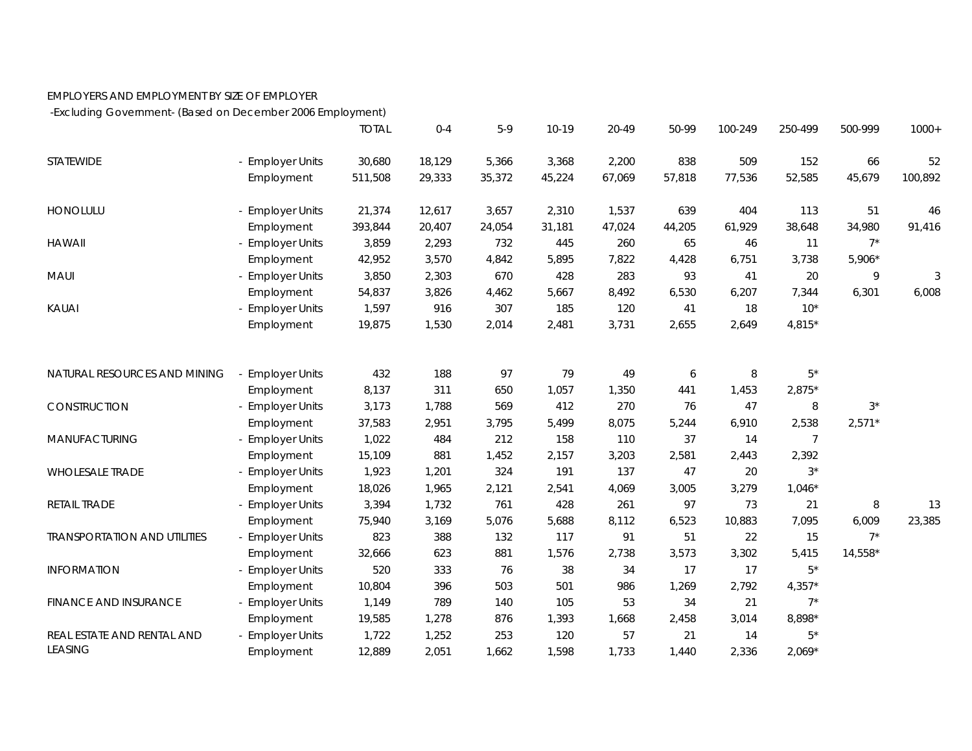## EMPLOYERS AND EMPLOYMENT BY SIZE OF EMPLOYER

-Excluding Government- (Based on December 2006 Employment)

|                                        |                  | <b>TOTAL</b> | $0 - 4$ | $5-9$  | $10-19$ | 20-49  | 50-99  | 100-249 | 250-499        | 500-999  | $1000+$ |
|----------------------------------------|------------------|--------------|---------|--------|---------|--------|--------|---------|----------------|----------|---------|
| STATEWIDE                              | - Employer Units | 30,680       | 18,129  | 5,366  | 3,368   | 2,200  | 838    | 509     | 152            | 66       | 52      |
|                                        | Employment       | 511,508      | 29,333  | 35,372 | 45,224  | 67,069 | 57,818 | 77,536  | 52,585         | 45,679   | 100,892 |
| <b>HONOLULU</b>                        | - Employer Units | 21,374       | 12,617  | 3,657  | 2,310   | 1,537  | 639    | 404     | 113            | 51       | 46      |
|                                        | Employment       | 393,844      | 20,407  | 24,054 | 31,181  | 47,024 | 44,205 | 61,929  | 38,648         | 34,980   | 91,416  |
| <b>HAWAII</b>                          | - Employer Units | 3,859        | 2,293   | 732    | 445     | 260    | 65     | 46      | 11             | $7^*$    |         |
|                                        | Employment       | 42,952       | 3,570   | 4,842  | 5,895   | 7,822  | 4,428  | 6,751   | 3,738          | $5,906*$ |         |
| <b>MAUI</b>                            | - Employer Units | 3,850        | 2,303   | 670    | 428     | 283    | 93     | 41      | 20             | 9        | 3       |
|                                        | Employment       | 54,837       | 3,826   | 4,462  | 5,667   | 8,492  | 6,530  | 6,207   | 7,344          | 6,301    | 6,008   |
| KAUAI                                  | - Employer Units | 1,597        | 916     | 307    | 185     | 120    | 41     | 18      | $10*$          |          |         |
|                                        | Employment       | 19,875       | 1,530   | 2,014  | 2,481   | 3,731  | 2,655  | 2,649   | 4,815*         |          |         |
| NATURAL RESOURCES AND MINING           | - Employer Units | 432          | 188     | 97     | 79      | 49     | 6      | 8       | $5^*$          |          |         |
|                                        | Employment       | 8,137        | 311     | 650    | 1,057   | 1,350  | 441    | 1,453   | $2,875*$       |          |         |
| CONSTRUCTION                           | - Employer Units | 3,173        | 1,788   | 569    | 412     | 270    | 76     | 47      | 8              | $3^*$    |         |
|                                        | Employment       | 37,583       | 2,951   | 3,795  | 5,499   | 8,075  | 5,244  | 6,910   | 2,538          | $2,571*$ |         |
| MANUFACTURING                          | - Employer Units | 1,022        | 484     | 212    | 158     | 110    | 37     | 14      | $\overline{7}$ |          |         |
|                                        | Employment       | 15,109       | 881     | 1,452  | 2,157   | 3,203  | 2,581  | 2,443   | 2,392          |          |         |
| <b>WHOLESALE TRADE</b><br>RETAIL TRADE | - Employer Units | 1,923        | 1,201   | 324    | 191     | 137    | 47     | 20      | $3^*$          |          |         |
|                                        | Employment       | 18,026       | 1,965   | 2,121  | 2,541   | 4,069  | 3,005  | 3,279   | $1,046*$       |          |         |
|                                        | - Employer Units | 3,394        | 1,732   | 761    | 428     | 261    | 97     | 73      | 21             | 8        | 13      |
|                                        | Employment       | 75,940       | 3,169   | 5,076  | 5,688   | 8,112  | 6,523  | 10,883  | 7,095          | 6,009    | 23,385  |
| <b>TRANSPORTATION AND UTILITIES</b>    | - Employer Units | 823          | 388     | 132    | 117     | 91     | 51     | 22      | 15             | $7^*$    |         |
|                                        | Employment       | 32,666       | 623     | 881    | 1,576   | 2,738  | 3,573  | 3,302   | 5,415          | 14,558*  |         |
| <b>INFORMATION</b>                     | - Employer Units | 520          | 333     | 76     | 38      | 34     | 17     | 17      | $5*$           |          |         |
|                                        | Employment       | 10,804       | 396     | 503    | 501     | 986    | 1,269  | 2,792   | $4,357*$       |          |         |
| FINANCE AND INSURANCE                  | - Employer Units | 1,149        | 789     | 140    | 105     | 53     | 34     | 21      | $7^*$          |          |         |
|                                        | Employment       | 19,585       | 1,278   | 876    | 1,393   | 1,668  | 2,458  | 3,014   | 8,898*         |          |         |
| REAL ESTATE AND RENTAL AND             | - Employer Units | 1,722        | 1,252   | 253    | 120     | 57     | 21     | 14      | $5^*$          |          |         |
| <b>LEASING</b>                         | Employment       | 12,889       | 2,051   | 1,662  | 1,598   | 1,733  | 1,440  | 2,336   | $2,069*$       |          |         |